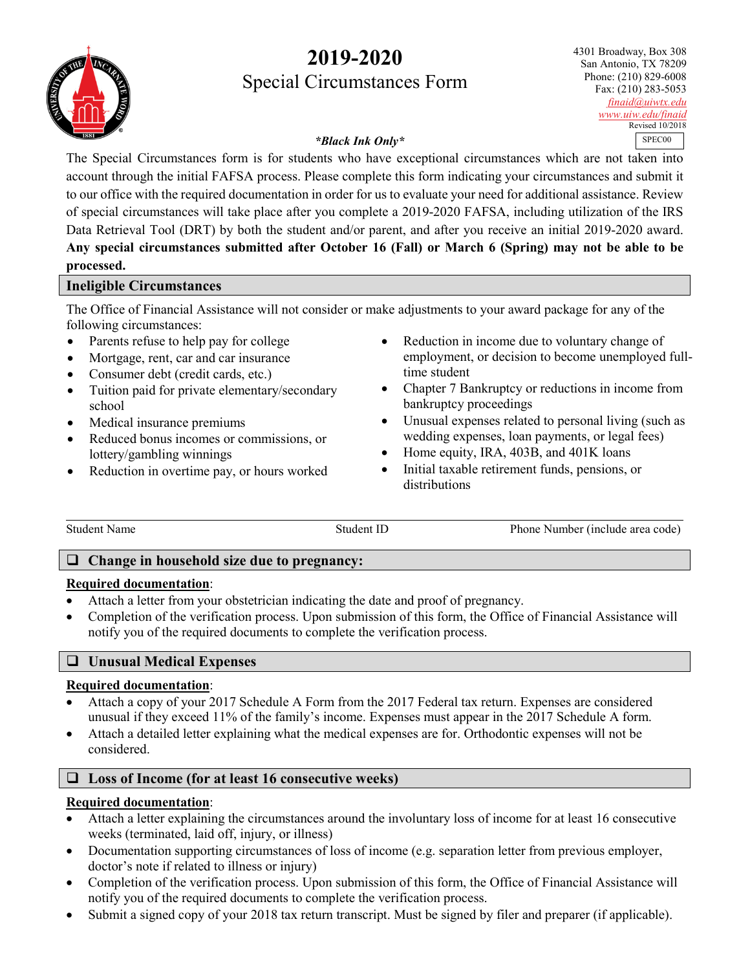# **2019-2020** Special Circumstances Form



4301 Broadway, Box 308 San Antonio, TX 78209 Phone: (210) 829-6008 Fax: (210) 283-5053 *[finaid@uiwtx.edu](mailto:finaid@uiwtx.edu) [www.uiw.edu/finaid](http://www.uiw.edu/finaid)* Revised 10/2018 SPEC00

## *\*Black Ink Only\**

The Special Circumstances form is for students who have exceptional circumstances which are not taken into account through the initial FAFSA process. Please complete this form indicating your circumstances and submit it to our office with the required documentation in order for us to evaluate your need for additional assistance. Review of special circumstances will take place after you complete a 2019-2020 FAFSA, including utilization of the IRS Data Retrieval Tool (DRT) by both the student and/or parent, and after you receive an initial 2019-2020 award. **Any special circumstances submitted after October 16 (Fall) or March 6 (Spring) may not be able to be processed.**

# **Ineligible Circumstances**

The Office of Financial Assistance will not consider or make adjustments to your award package for any of the following circumstances:

- Parents refuse to help pay for college
- Mortgage, rent, car and car insurance
- Consumer debt (credit cards, etc.)
- Tuition paid for private elementary/secondary school
- Medical insurance premiums
- Reduced bonus incomes or commissions, or lottery/gambling winnings
- Reduction in overtime pay, or hours worked
- Reduction in income due to voluntary change of employment, or decision to become unemployed fulltime student
- Chapter 7 Bankruptcy or reductions in income from bankruptcy proceedings
- Unusual expenses related to personal living (such as wedding expenses, loan payments, or legal fees)
- Home equity, IRA, 403B, and 401K loans
- Initial taxable retirement funds, pensions, or distributions

Student Name Student ID Phone Number (include area code)

## **Change in household size due to pregnancy:**

## **Required documentation**:

- Attach a letter from your obstetrician indicating the date and proof of pregnancy.
- Completion of the verification process. Upon submission of this form, the Office of Financial Assistance will notify you of the required documents to complete the verification process.

# **Unusual Medical Expenses**

## **Required documentation**:

- Attach a copy of your 2017 Schedule A Form from the 2017 Federal tax return. Expenses are considered unusual if they exceed 11% of the family's income. Expenses must appear in the 2017 Schedule A form.
- Attach a detailed letter explaining what the medical expenses are for. Orthodontic expenses will not be considered.

# **Loss of Income (for at least 16 consecutive weeks)**

## **Required documentation**:

- Attach a letter explaining the circumstances around the involuntary loss of income for at least 16 consecutive weeks (terminated, laid off, injury, or illness)
- Documentation supporting circumstances of loss of income (e.g. separation letter from previous employer, doctor's note if related to illness or injury)
- Completion of the verification process. Upon submission of this form, the Office of Financial Assistance will notify you of the required documents to complete the verification process.
- Submit a signed copy of your 2018 tax return transcript. Must be signed by filer and preparer (if applicable).